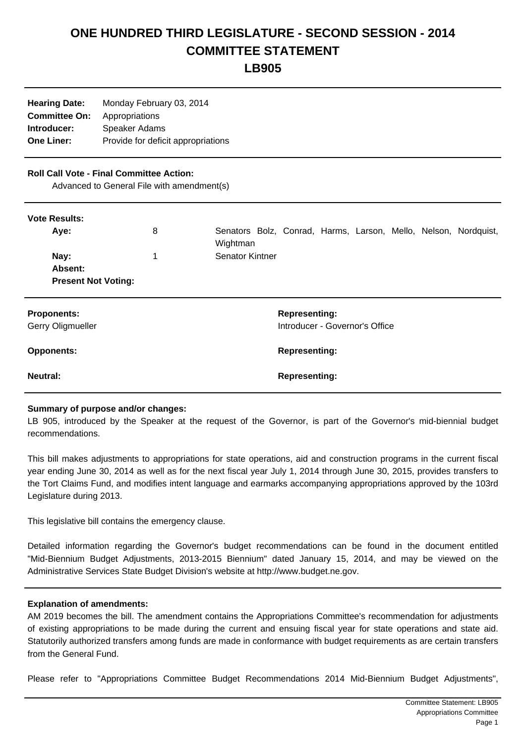## **ONE HUNDRED THIRD LEGISLATURE - SECOND SESSION - 2014 COMMITTEE STATEMENT**

**LB905**

| <b>Hearing Date:</b> | Monday February 03, 2014           |
|----------------------|------------------------------------|
| <b>Committee On:</b> | Appropriations                     |
| Introducer:          | Speaker Adams                      |
| <b>One Liner:</b>    | Provide for deficit appropriations |
|                      |                                    |

## **Roll Call Vote - Final Committee Action:**

Advanced to General File with amendment(s)

| <b>Vote Results:</b><br>Aye:<br>Nay:<br>Absent:<br><b>Present Not Voting:</b> | 8<br>1 | Senators Bolz, Conrad, Harms, Larson, Mello, Nelson, Nordquist,<br>Wightman<br><b>Senator Kintner</b> |
|-------------------------------------------------------------------------------|--------|-------------------------------------------------------------------------------------------------------|
| <b>Proponents:</b><br>Gerry Oligmueller                                       |        | <b>Representing:</b><br>Introducer - Governor's Office                                                |
| <b>Opponents:</b>                                                             |        | <b>Representing:</b>                                                                                  |
| Neutral:                                                                      |        | <b>Representing:</b>                                                                                  |

## **Summary of purpose and/or changes:**

LB 905, introduced by the Speaker at the request of the Governor, is part of the Governor's mid-biennial budget recommendations.

This bill makes adjustments to appropriations for state operations, aid and construction programs in the current fiscal year ending June 30, 2014 as well as for the next fiscal year July 1, 2014 through June 30, 2015, provides transfers to the Tort Claims Fund, and modifies intent language and earmarks accompanying appropriations approved by the 103rd Legislature during 2013.

This legislative bill contains the emergency clause.

Detailed information regarding the Governor's budget recommendations can be found in the document entitled "Mid-Biennium Budget Adjustments, 2013-2015 Biennium" dated January 15, 2014, and may be viewed on the Administrative Services State Budget Division's website at http://www.budget.ne.gov.

## **Explanation of amendments:**

AM 2019 becomes the bill. The amendment contains the Appropriations Committee's recommendation for adjustments of existing appropriations to be made during the current and ensuing fiscal year for state operations and state aid. Statutorily authorized transfers among funds are made in conformance with budget requirements as are certain transfers from the General Fund.

Please refer to "Appropriations Committee Budget Recommendations 2014 Mid-Biennium Budget Adjustments",